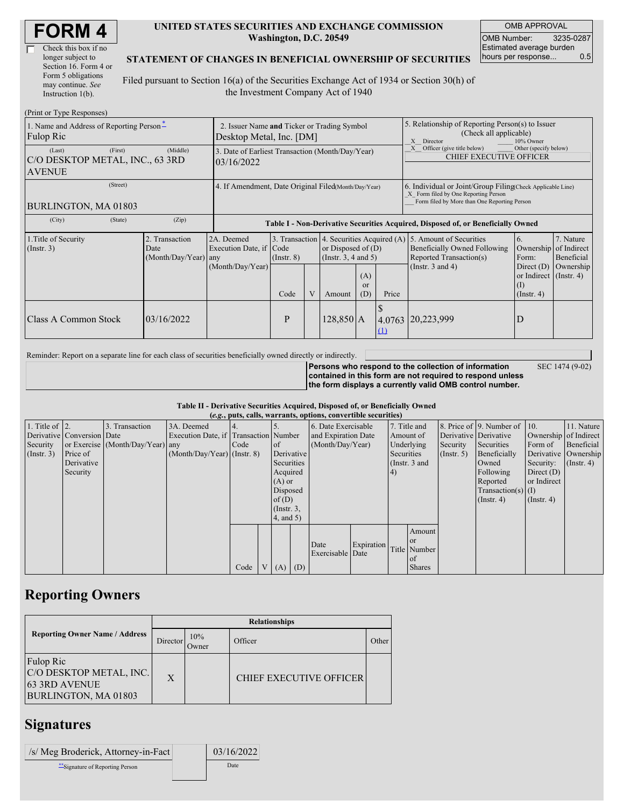| <b>FORM4</b> |
|--------------|
|--------------|

| Check this box if no  |
|-----------------------|
| longer subject to     |
| Section 16. Form 4 or |
| Form 5 obligations    |
| may continue. See     |
| Instruction 1(b).     |

#### **UNITED STATES SECURITIES AND EXCHANGE COMMISSION Washington, D.C. 20549**

OMB APPROVAL OMB Number: 3235-0287 Estimated average burden hours per response... 0.5

### **STATEMENT OF CHANGES IN BENEFICIAL OWNERSHIP OF SECURITIES**

Filed pursuant to Section 16(a) of the Securities Exchange Act of 1934 or Section 30(h) of the Investment Company Act of 1940

| (Print or Type Responses)                                             |                                                                         |                                                                                  |                         |  |             |                                                                                           |                                                                                                                                                    |                                                                                                                                                         |                  |                                                                                  |
|-----------------------------------------------------------------------|-------------------------------------------------------------------------|----------------------------------------------------------------------------------|-------------------------|--|-------------|-------------------------------------------------------------------------------------------|----------------------------------------------------------------------------------------------------------------------------------------------------|---------------------------------------------------------------------------------------------------------------------------------------------------------|------------------|----------------------------------------------------------------------------------|
| 1. Name and Address of Reporting Person-<br>Fulop Ric                 | 2. Issuer Name and Ticker or Trading Symbol<br>Desktop Metal, Inc. [DM] |                                                                                  |                         |  |             |                                                                                           | 5. Relationship of Reporting Person(s) to Issuer<br>(Check all applicable)<br>10% Owner<br>X Director                                              |                                                                                                                                                         |                  |                                                                                  |
| (First)<br>(Last)<br>C/O DESKTOP METAL, INC., 63 3RD<br><b>AVENUE</b> | 3. Date of Earliest Transaction (Month/Day/Year)<br>03/16/2022          |                                                                                  |                         |  |             |                                                                                           | Officer (give title below)<br>Other (specify below)<br><b>CHIEF EXECUTIVE OFFICER</b>                                                              |                                                                                                                                                         |                  |                                                                                  |
| (Street)<br>BURLINGTON, MA 01803                                      | 4. If Amendment, Date Original Filed (Month/Day/Year)                   |                                                                                  |                         |  |             |                                                                                           | 6. Individual or Joint/Group Filing Check Applicable Line)<br>X Form filed by One Reporting Person<br>Form filed by More than One Reporting Person |                                                                                                                                                         |                  |                                                                                  |
| (City)<br>(State)                                                     | (Zip)                                                                   | Table I - Non-Derivative Securities Acquired, Disposed of, or Beneficially Owned |                         |  |             |                                                                                           |                                                                                                                                                    |                                                                                                                                                         |                  |                                                                                  |
| 1. Title of Security<br>(Insert. 3)                                   | 2. Transaction<br>Date<br>(Month/Day/Year) any                          | 2A. Deemed<br>Execution Date, if<br>(Month/Day/Year)                             | Code<br>$($ Instr. $8)$ |  |             | 3. Transaction 4. Securities Acquired (A)<br>or Disposed of $(D)$<br>(Insert. 3, 4 and 5) |                                                                                                                                                    | 5. Amount of Securities<br>6.<br>Ownership<br>Beneficially Owned Following<br>Reported Transaction(s)<br>Form:<br>(Instr. $3$ and $4$ )<br>Direct $(D)$ |                  | 7. Nature<br>of Indirect<br>Beneficial<br>Ownership<br>or Indirect $($ Instr. 4) |
|                                                                       |                                                                         |                                                                                  | Code                    |  | Amount      | (A)<br><sub>or</sub><br>(D)                                                               | Price                                                                                                                                              |                                                                                                                                                         | $($ Instr. 4 $)$ |                                                                                  |
| <b>Class A Common Stock</b>                                           | 03/16/2022                                                              |                                                                                  | P                       |  | $128,850$ A |                                                                                           | $\Omega$                                                                                                                                           | 4.0763 20,223,999                                                                                                                                       | D                |                                                                                  |

Reminder: Report on a separate line for each class of securities beneficially owned directly or indirectly.

**Persons who respond to the collection of information contained in this form are not required to respond unless the form displays a currently valid OMB control number.** SEC 1474 (9-02)

#### **Table II - Derivative Securities Acquired, Disposed of, or Beneficially Owned (***e.g.***, puts, calls, warrants, options, convertible securities)**

| $(0.5, 0.005, 0.005, 0.0005, 0.00005, 0.0000, 0.0000, 0.0000, 0.0000, 0.0000, 0.0000, 0.0000, 0.0000, 0.0000, 0.0000, 0.0000, 0.0000, 0.0000, 0.0000, 0.0000, 0.0000, 0.0000, 0.0000, 0.0000, 0.0000, 0.0000, 0.0000, 0.0000,$ |                            |                                  |                                       |      |  |                 |  |                     |            |           |               |                       |                              |                       |               |          |                      |         |            |
|--------------------------------------------------------------------------------------------------------------------------------------------------------------------------------------------------------------------------------|----------------------------|----------------------------------|---------------------------------------|------|--|-----------------|--|---------------------|------------|-----------|---------------|-----------------------|------------------------------|-----------------------|---------------|----------|----------------------|---------|------------|
| 1. Title of $\vert$ 2.                                                                                                                                                                                                         |                            | 3. Transaction                   | 3A. Deemed                            |      |  |                 |  | 6. Date Exercisable |            |           | 7. Title and  |                       | 8. Price of 9. Number of 10. |                       | 11. Nature    |          |                      |         |            |
|                                                                                                                                                                                                                                | Derivative Conversion Date |                                  | Execution Date, if Transaction Number |      |  |                 |  | and Expiration Date |            | Amount of |               | Derivative Derivative |                              | Ownership of Indirect |               |          |                      |         |            |
| Security                                                                                                                                                                                                                       |                            | or Exercise (Month/Day/Year) any |                                       | Code |  | <sub>of</sub>   |  | (Month/Day/Year)    |            |           |               |                       |                              |                       | Underlying    | Security | Securities           | Form of | Beneficial |
| (Insert. 3)                                                                                                                                                                                                                    | Price of                   |                                  | $(Month/Day/Year)$ (Instr. 8)         |      |  | Derivative      |  |                     |            |           |               | Securities            |                              | (Insert, 5)           | Beneficially  |          | Derivative Ownership |         |            |
|                                                                                                                                                                                                                                | Derivative                 |                                  |                                       |      |  | Securities      |  |                     |            |           | (Instr. 3 and |                       | Owned                        | Security:             | $($ Instr. 4) |          |                      |         |            |
|                                                                                                                                                                                                                                | Security                   |                                  |                                       |      |  | Acquired        |  |                     |            | 4)        |               |                       | Following                    | Direct $(D)$          |               |          |                      |         |            |
|                                                                                                                                                                                                                                |                            |                                  |                                       |      |  | $(A)$ or        |  |                     |            |           |               |                       | Reported                     | or Indirect           |               |          |                      |         |            |
|                                                                                                                                                                                                                                |                            |                                  |                                       |      |  | Disposed        |  |                     |            |           |               |                       | $Transaction(s)$ (I)         |                       |               |          |                      |         |            |
|                                                                                                                                                                                                                                |                            |                                  |                                       |      |  | of $(D)$        |  |                     |            |           |               |                       | $($ Instr. 4 $)$             | $($ Instr. 4 $)$      |               |          |                      |         |            |
|                                                                                                                                                                                                                                |                            |                                  |                                       |      |  | $($ Instr. $3,$ |  |                     |            |           |               |                       |                              |                       |               |          |                      |         |            |
|                                                                                                                                                                                                                                |                            |                                  |                                       |      |  | $4$ , and 5)    |  |                     |            |           |               |                       |                              |                       |               |          |                      |         |            |
|                                                                                                                                                                                                                                |                            |                                  |                                       |      |  |                 |  |                     |            |           | Amount        |                       |                              |                       |               |          |                      |         |            |
|                                                                                                                                                                                                                                |                            |                                  |                                       |      |  |                 |  | Date                | Expiration |           | or or         |                       |                              |                       |               |          |                      |         |            |
|                                                                                                                                                                                                                                |                            |                                  |                                       |      |  |                 |  | Exercisable Date    |            |           | Title Number  |                       |                              |                       |               |          |                      |         |            |
|                                                                                                                                                                                                                                |                            |                                  |                                       |      |  |                 |  |                     |            |           | of            |                       |                              |                       |               |          |                      |         |            |
|                                                                                                                                                                                                                                |                            |                                  |                                       | Code |  | V   (A)   (D)   |  |                     |            |           | <b>Shares</b> |                       |                              |                       |               |          |                      |         |            |

## **Reporting Owners**

|                                                                                      | <b>Relationships</b> |              |                                |       |  |  |  |  |  |
|--------------------------------------------------------------------------------------|----------------------|--------------|--------------------------------|-------|--|--|--|--|--|
| <b>Reporting Owner Name / Address</b>                                                | Director             | 10%<br>Owner | Officer                        | Other |  |  |  |  |  |
| Fulop Ric<br>C/O DESKTOP METAL, INC.<br><b>63 3RD AVENUE</b><br>BURLINGTON, MA 01803 | $\mathbf{X}$         |              | <b>CHIEF EXECUTIVE OFFICER</b> |       |  |  |  |  |  |

## **Signatures**

| /s/ Meg Broderick, Attorney-in-Fact | 03/16/2022 |
|-------------------------------------|------------|
| Signature of Reporting Person       | Date       |